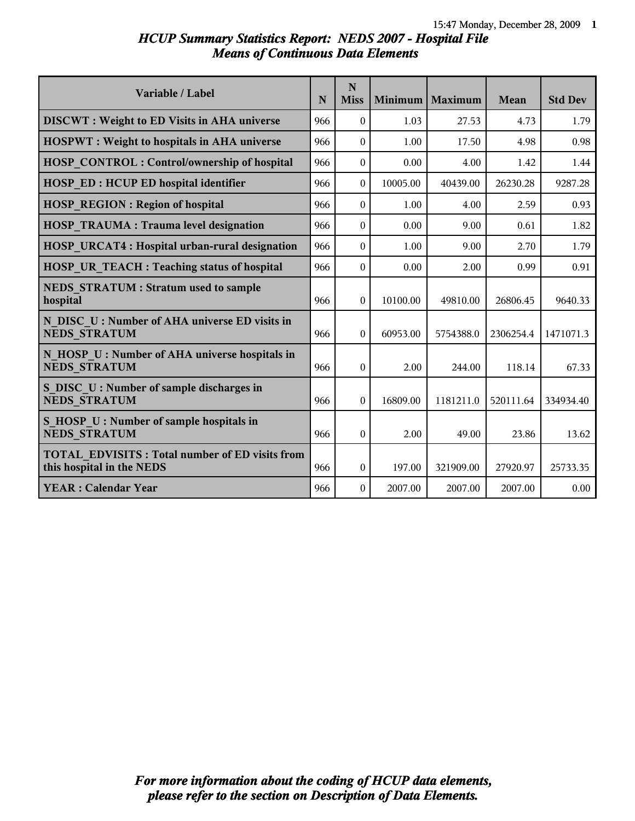# *HCUP Summary Statistics Report: NEDS 2007 - Hospital File Means of Continuous Data Elements*

| Variable / Label                                                                   | N   | N<br><b>Miss</b> | Minimum  | Maximum   | Mean      | <b>Std Dev</b> |
|------------------------------------------------------------------------------------|-----|------------------|----------|-----------|-----------|----------------|
| <b>DISCWT</b> : Weight to ED Visits in AHA universe                                | 966 | $\theta$         | 1.03     | 27.53     | 4.73      | 1.79           |
| <b>HOSPWT</b> : Weight to hospitals in AHA universe                                | 966 | $\theta$         | 1.00     | 17.50     | 4.98      | 0.98           |
| <b>HOSP CONTROL: Control/ownership of hospital</b>                                 | 966 | $\theta$         | 0.00     | 4.00      | 1.42      | 1.44           |
| <b>HOSP ED: HCUP ED hospital identifier</b>                                        | 966 | $\Omega$         | 10005.00 | 40439.00  | 26230.28  | 9287.28        |
| <b>HOSP REGION: Region of hospital</b>                                             | 966 | $\theta$         | 1.00     | 4.00      | 2.59      | 0.93           |
| <b>HOSP TRAUMA: Trauma level designation</b>                                       | 966 | $\theta$         | 0.00     | 9.00      | 0.61      | 1.82           |
| HOSP URCAT4 : Hospital urban-rural designation                                     | 966 | $\theta$         | 1.00     | 9.00      | 2.70      | 1.79           |
| HOSP UR TEACH : Teaching status of hospital                                        | 966 | $\theta$         | 0.00     | 2.00      | 0.99      | 0.91           |
| <b>NEDS STRATUM: Stratum used to sample</b><br>hospital                            | 966 | $\theta$         | 10100.00 | 49810.00  | 26806.45  | 9640.33        |
| N DISC U: Number of AHA universe ED visits in<br><b>NEDS STRATUM</b>               | 966 | $\Omega$         | 60953.00 | 5754388.0 | 2306254.4 | 1471071.3      |
| N HOSP U: Number of AHA universe hospitals in<br><b>NEDS STRATUM</b>               | 966 | $\theta$         | 2.00     | 244.00    | 118.14    | 67.33          |
| S DISC U: Number of sample discharges in<br><b>NEDS STRATUM</b>                    | 966 | $\theta$         | 16809.00 | 1181211.0 | 520111.64 | 334934.40      |
| S HOSP U : Number of sample hospitals in<br><b>NEDS STRATUM</b>                    | 966 | $\theta$         | 2.00     | 49.00     | 23.86     | 13.62          |
| <b>TOTAL EDVISITS: Total number of ED visits from</b><br>this hospital in the NEDS | 966 | $\theta$         | 197.00   | 321909.00 | 27920.97  | 25733.35       |
| <b>YEAR: Calendar Year</b>                                                         | 966 | $\Omega$         | 2007.00  | 2007.00   | 2007.00   | 0.00           |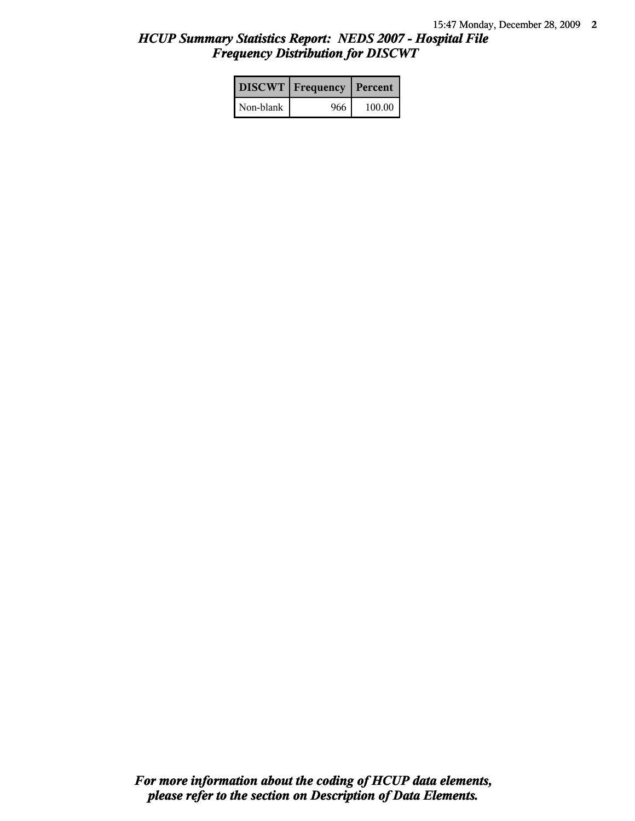# *HCUP Summary Statistics Report: NEDS 2007 - Hospital File Frequency Distribution for DISCWT*

|           | <b>DISCWT</b>   Frequency   Percent |        |
|-----------|-------------------------------------|--------|
| Non-blank | 966                                 | 100.00 |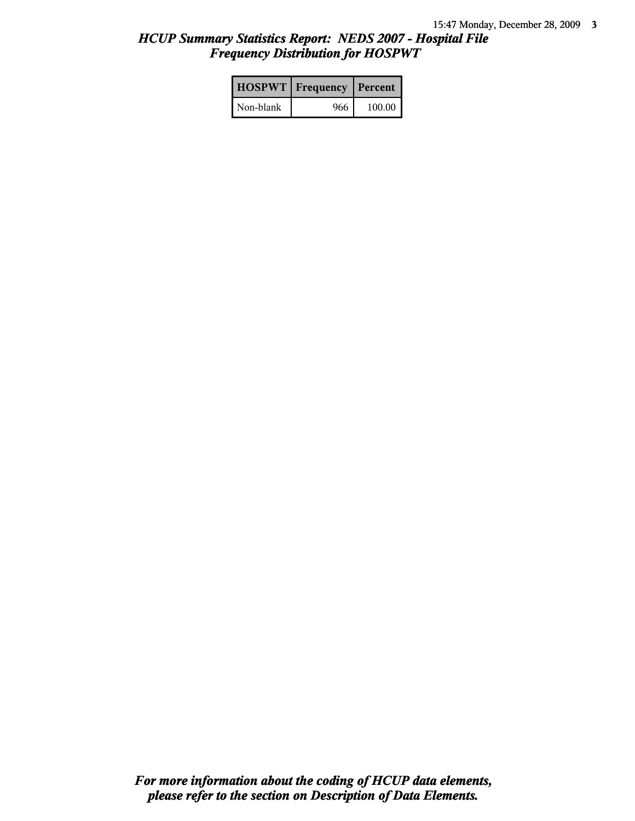# *HCUP Summary Statistics Report: NEDS 2007 - Hospital File Frequency Distribution for HOSPWT*

|           | <b>HOSPWT</b>   Frequency   Percent |        |
|-----------|-------------------------------------|--------|
| Non-blank | 966                                 | 100.00 |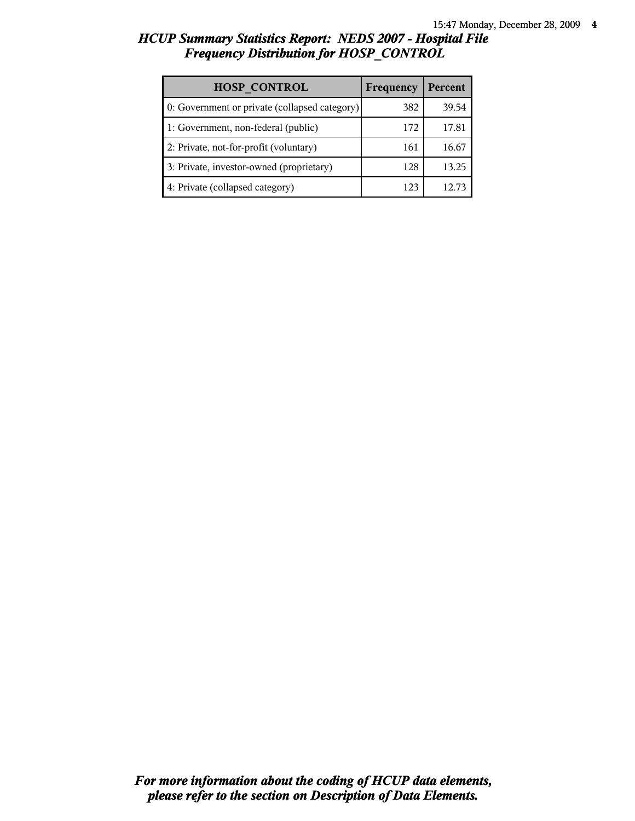# *HCUP Summary Statistics Report: NEDS 2007 - Hospital File Frequency Distribution for HOSP\_CONTROL*

| <b>HOSP CONTROL</b>                           | Frequency | Percent        |
|-----------------------------------------------|-----------|----------------|
| 0: Government or private (collapsed category) | 382       | 39.54          |
| 1: Government, non-federal (public)           | 172       | 17.81          |
| 2: Private, not-for-profit (voluntary)        | 161       | 16.67          |
| 3: Private, investor-owned (proprietary)      | 128       | 13.25          |
| 4: Private (collapsed category)               | 123       | $12.7^{\circ}$ |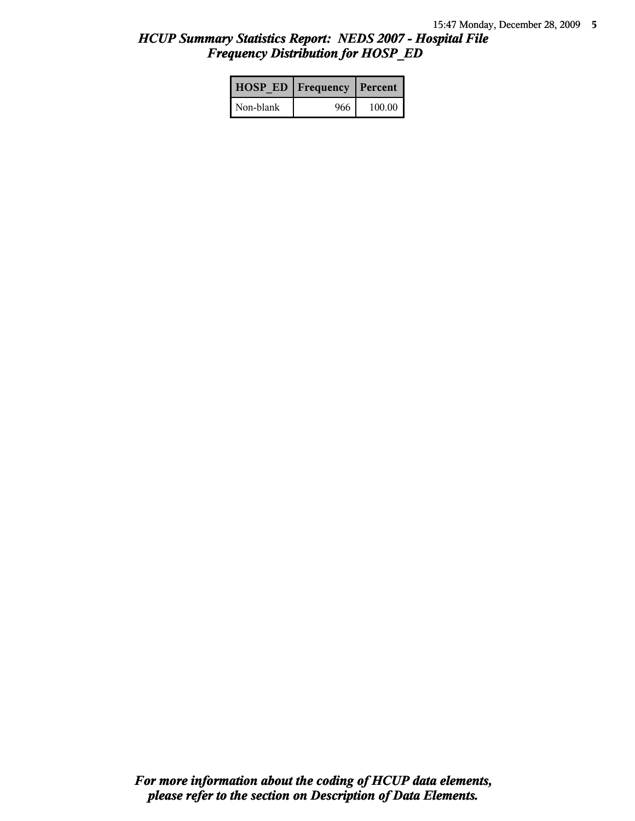# *HCUP Summary Statistics Report: NEDS 2007 - Hospital File Frequency Distribution for HOSP\_ED*

|           | <b>HOSP ED   Frequency   Percent  </b> |        |
|-----------|----------------------------------------|--------|
| Non-blank | 966                                    | 100.00 |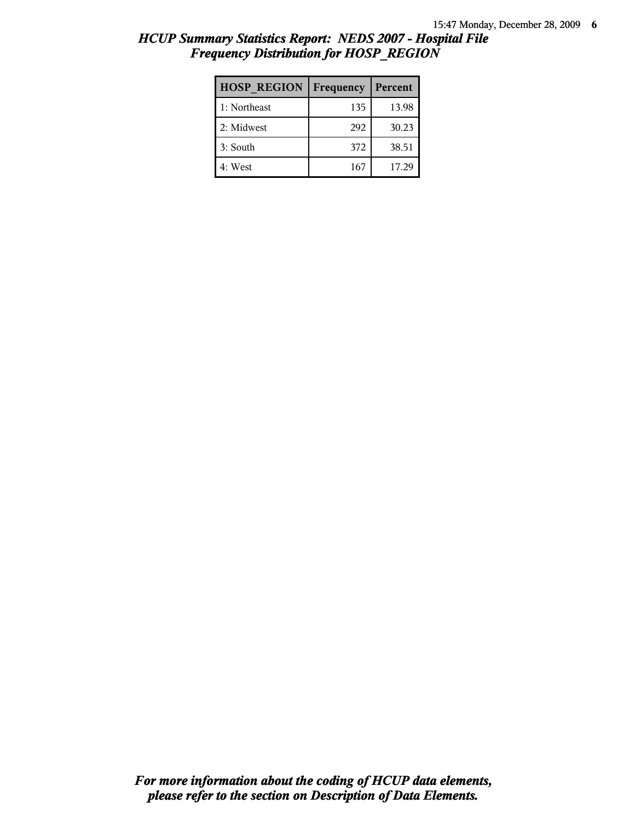# *HCUP Summary Statistics Report: NEDS 2007 - Hospital File Frequency Distribution for HOSP\_REGION*

| <b>HOSP REGION</b> | Frequency | Percent |
|--------------------|-----------|---------|
| 1: Northeast       | 135       | 13.98   |
| 2: Midwest         | 292       | 30.23   |
| 3: South           | 372       | 38.51   |
| 4: West            | 167       | 17.29   |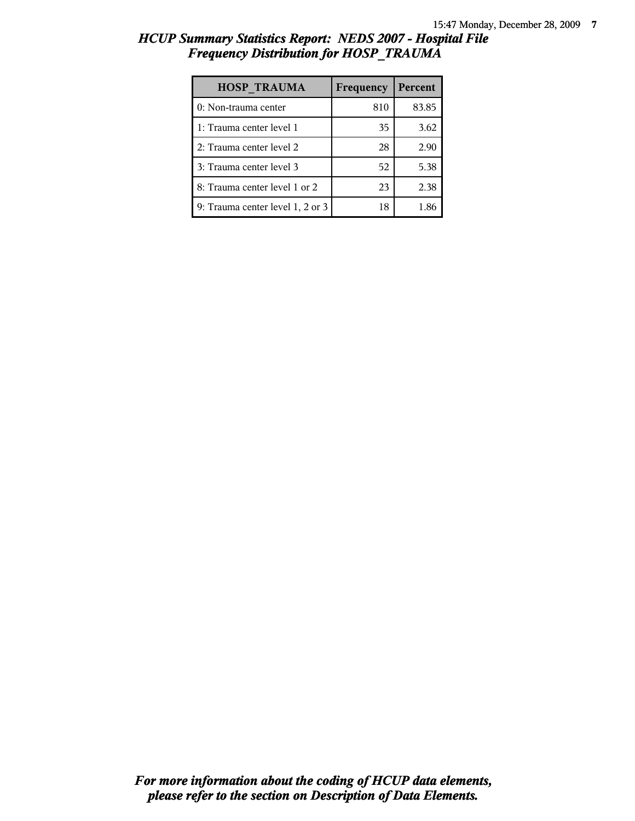# *HCUP Summary Statistics Report: NEDS 2007 - Hospital File Frequency Distribution for HOSP\_TRAUMA*

| <b>HOSP TRAUMA</b>               | Frequency | Percent |
|----------------------------------|-----------|---------|
| 0: Non-trauma center             | 810       | 83.85   |
| 1: Trauma center level 1         | 35        | 3.62    |
| 2: Trauma center level 2         | 28        | 2.90    |
| 3: Trauma center level 3         | 52        | 5.38    |
| 8: Trauma center level 1 or 2    | 23        | 2.38    |
| 9: Trauma center level 1, 2 or 3 | 18        | 1.86    |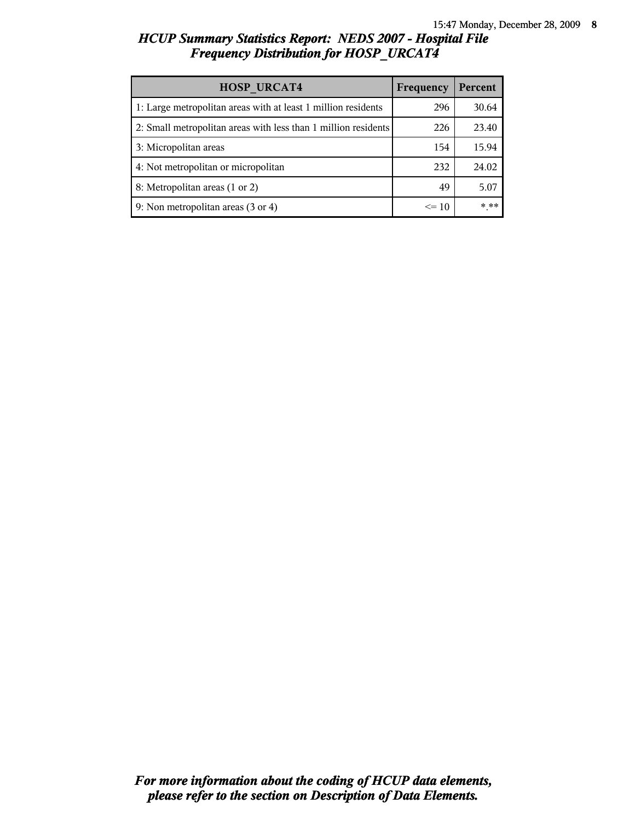# *HCUP Summary Statistics Report: NEDS 2007 - Hospital File Frequency Distribution for HOSP\_URCAT4*

| <b>HOSP URCAT4</b>                                             | Frequency | Percent |
|----------------------------------------------------------------|-----------|---------|
| 1: Large metropolitan areas with at least 1 million residents  | 296       | 30.64   |
| 2: Small metropolitan areas with less than 1 million residents | 226       | 23.40   |
| 3: Micropolitan areas                                          | 154       | 15.94   |
| 4: Not metropolitan or micropolitan                            | 232       | 24.02   |
| 8: Metropolitan areas (1 or 2)                                 | 49        | 5.07    |
| 9: Non metropolitan areas (3 or 4)                             | $\leq$ 10 | * **    |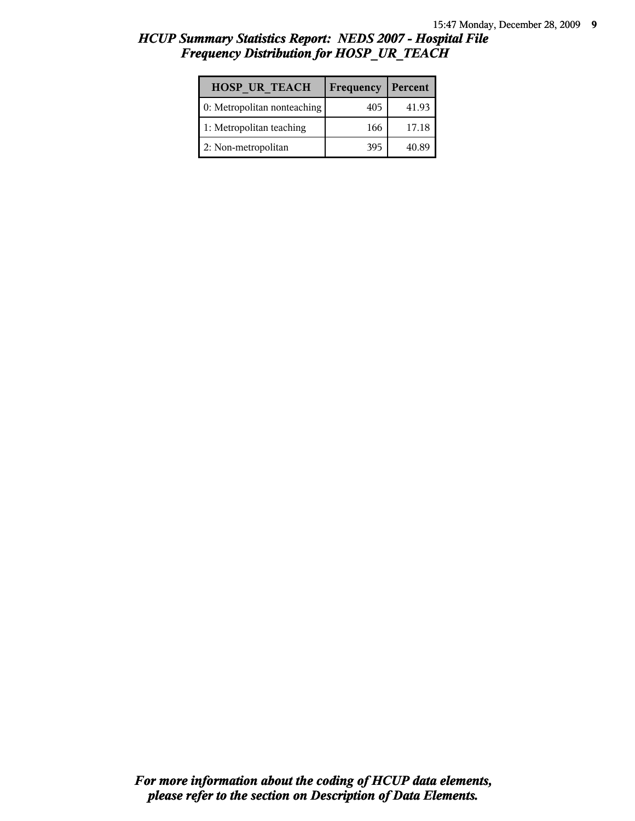# *HCUP Summary Statistics Report: NEDS 2007 - Hospital File Frequency Distribution for HOSP\_UR\_TEACH*

| <b>HOSP UR TEACH</b>        | Frequency | Percent |
|-----------------------------|-----------|---------|
| 0: Metropolitan nonteaching | 405       | 41.93   |
| 1: Metropolitan teaching    | 166       | 17.18   |
| 2: Non-metropolitan         | 395       | 40.89   |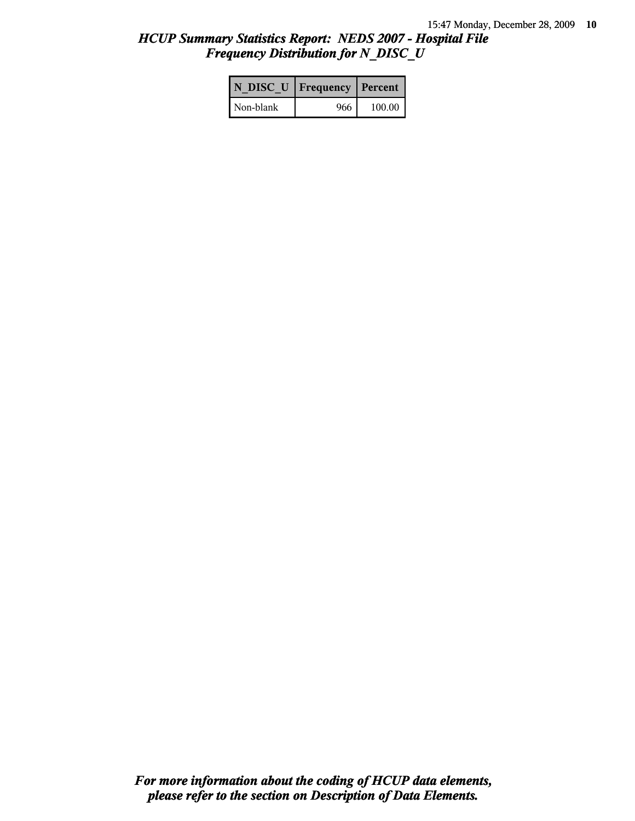# *HCUP Summary Statistics Report: NEDS 2007 - Hospital File Frequency Distribution for N\_DISC\_U*

|           | N DISC U   Frequency   Percent |        |
|-----------|--------------------------------|--------|
| Non-blank | 966                            | 100.00 |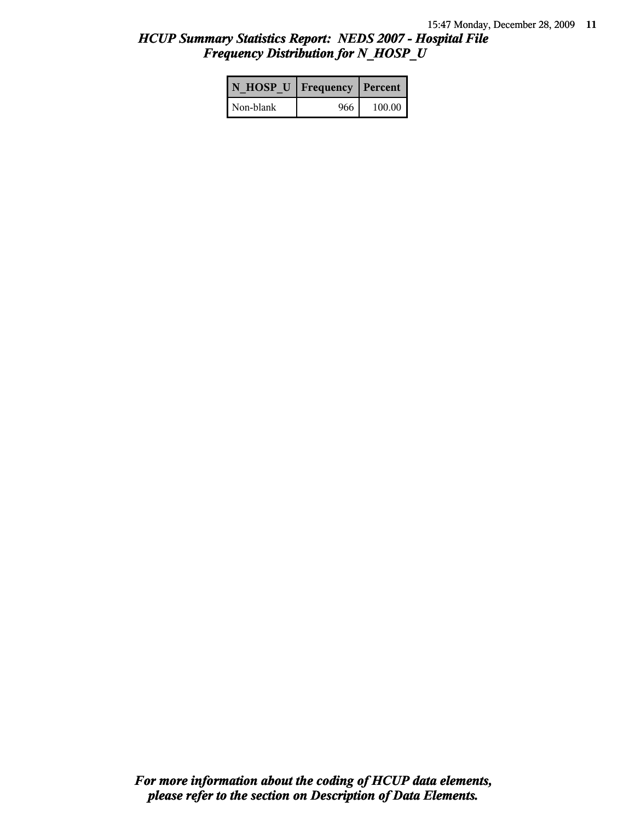# *HCUP Summary Statistics Report: NEDS 2007 - Hospital File Frequency Distribution for N\_HOSP\_U*

| N HOSP U   Frequency   Percent |     |          |
|--------------------------------|-----|----------|
| Non-blank                      | 966 | 100.00 l |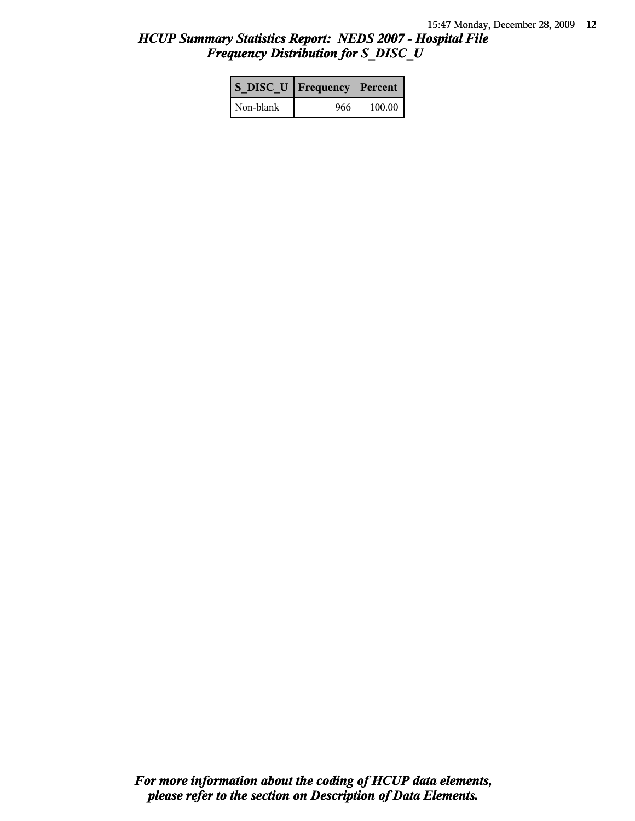# *HCUP Summary Statistics Report: NEDS 2007 - Hospital File Frequency Distribution for S\_DISC\_U*

| S DISC U   Frequency   Percent |       |        |
|--------------------------------|-------|--------|
| l Non-blank                    | 966 l | 100.00 |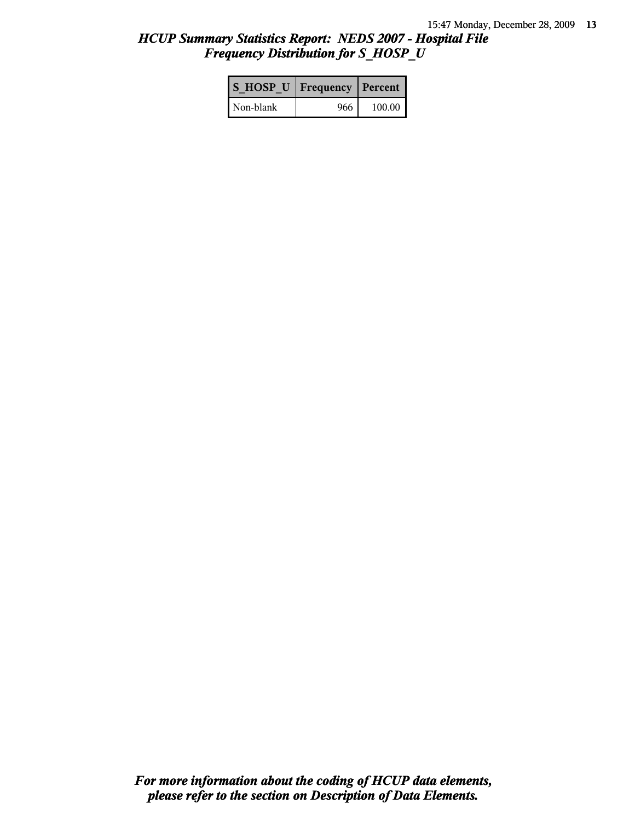# *HCUP Summary Statistics Report: NEDS 2007 - Hospital File Frequency Distribution for S\_HOSP\_U*

| S HOSP U Frequency   Percent |     |          |
|------------------------------|-----|----------|
| l Non-blank                  | 966 | $100.00$ |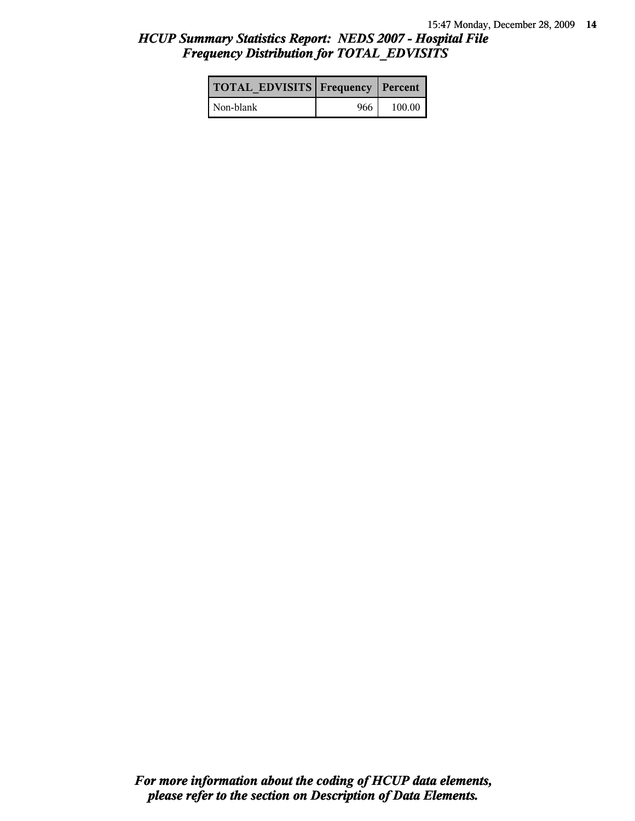# *HCUP Summary Statistics Report: NEDS 2007 - Hospital File Frequency Distribution for TOTAL\_EDVISITS*

| <b>TOTAL EDVISITS Frequency Percent</b> |     |        |
|-----------------------------------------|-----|--------|
| Non-blank                               | 966 | 100.00 |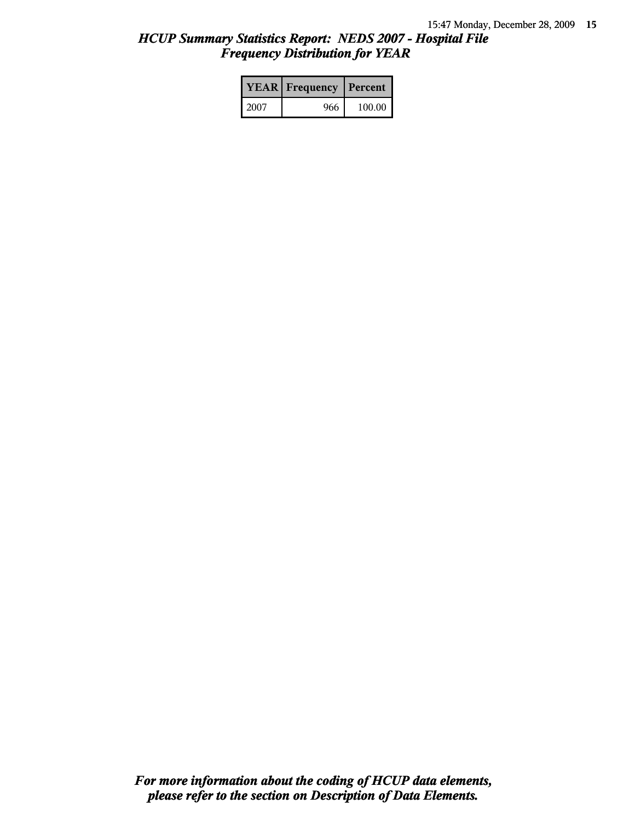# *HCUP Summary Statistics Report: NEDS 2007 - Hospital File Frequency Distribution for YEAR*

|      | <b>YEAR</b> Frequency | Percent |  |
|------|-----------------------|---------|--|
| 2007 | 966                   | 100.00  |  |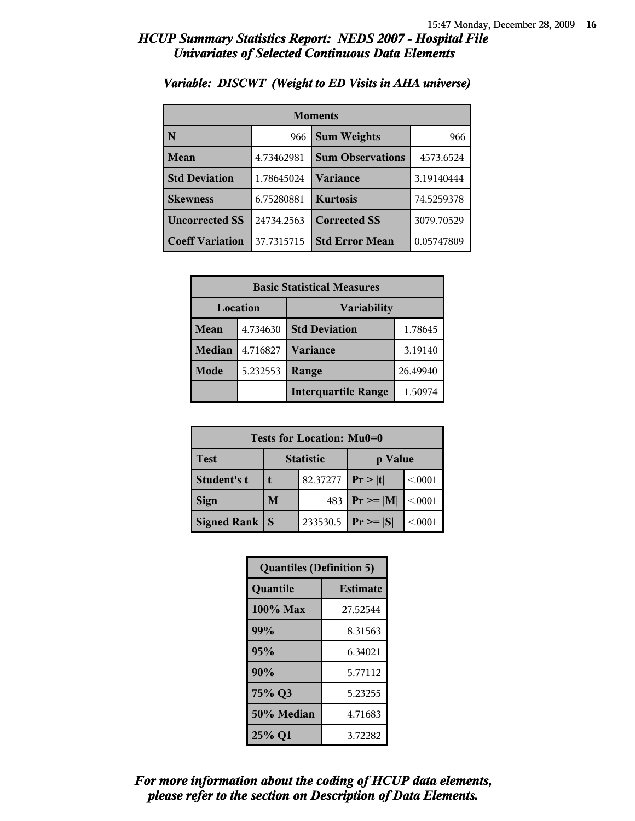| <b>Moments</b>         |            |                         |            |  |
|------------------------|------------|-------------------------|------------|--|
| N                      | 966        | <b>Sum Weights</b>      |            |  |
| Mean                   | 4.73462981 | <b>Sum Observations</b> | 4573.6524  |  |
| <b>Std Deviation</b>   | 1.78645024 | Variance                | 3.19140444 |  |
| <b>Skewness</b>        | 6.75280881 | <b>Kurtosis</b>         | 74.5259378 |  |
| <b>Uncorrected SS</b>  | 24734.2563 | <b>Corrected SS</b>     | 3079.70529 |  |
| <b>Coeff Variation</b> | 37.7315715 | <b>Std Error Mean</b>   | 0.05747809 |  |

### *Variable: DISCWT (Weight to ED Visits in AHA universe)*

| <b>Basic Statistical Measures</b> |                                       |                      |         |
|-----------------------------------|---------------------------------------|----------------------|---------|
| Location<br><b>Variability</b>    |                                       |                      |         |
| <b>Mean</b>                       | 4.734630                              | <b>Std Deviation</b> | 1.78645 |
| <b>Median</b>                     | 4.716827                              | <b>Variance</b>      | 3.19140 |
| Mode                              | 5.232553                              | 26.49940<br>Range    |         |
|                                   | <b>Interquartile Range</b><br>1.50974 |                      |         |

| Tests for Location: Mu0=0 |                             |          |                 |         |  |
|---------------------------|-----------------------------|----------|-----------------|---------|--|
| <b>Test</b>               | <b>Statistic</b><br>p Value |          |                 |         |  |
| Student's t               | t                           | 82.37277 | Pr >  t         | < 0001  |  |
| <b>Sign</b>               | 483<br>M                    |          | $ Pr \ge =  M $ | < 0.001 |  |
| <b>Signed Rank</b>        | S                           | 233530.5 | $Pr \geq  S $   | < 0001  |  |

| <b>Quantiles (Definition 5)</b> |                 |  |
|---------------------------------|-----------------|--|
| Quantile                        | <b>Estimate</b> |  |
| $100\%$ Max                     | 27.52544        |  |
| 99%                             | 8.31563         |  |
| 95%                             | 6.34021         |  |
| 90%                             | 5.77112         |  |
| 75% Q3<br>5.23255               |                 |  |
| 50% Median                      | 4.71683         |  |
| 25% Q1                          | 3.72282         |  |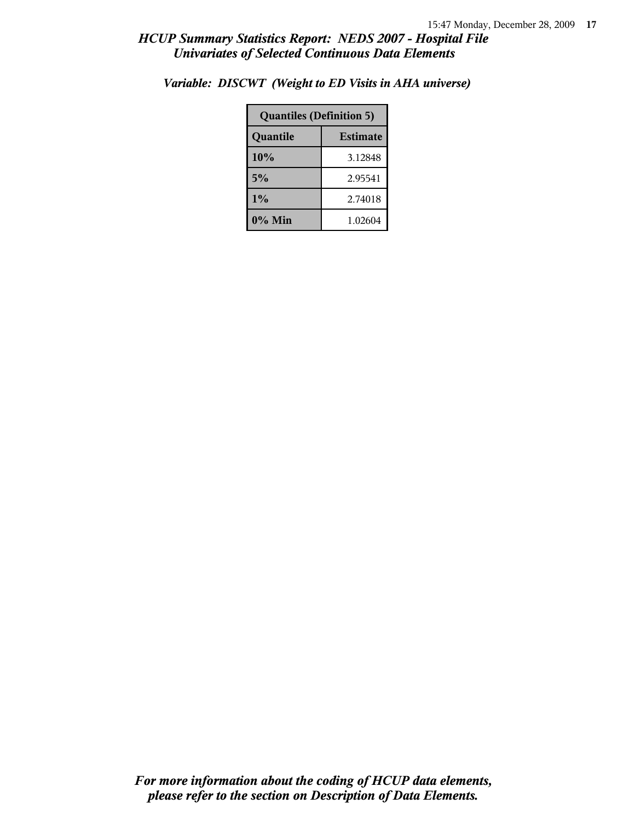| <b>Quantiles (Definition 5)</b> |         |  |
|---------------------------------|---------|--|
| <b>Estimate</b><br>Quantile     |         |  |
| 10%                             | 3.12848 |  |
| 5%                              | 2.95541 |  |
| 1%                              | 2.74018 |  |
| 0% Min                          | 1.02604 |  |

*Variable: DISCWT (Weight to ED Visits in AHA universe)*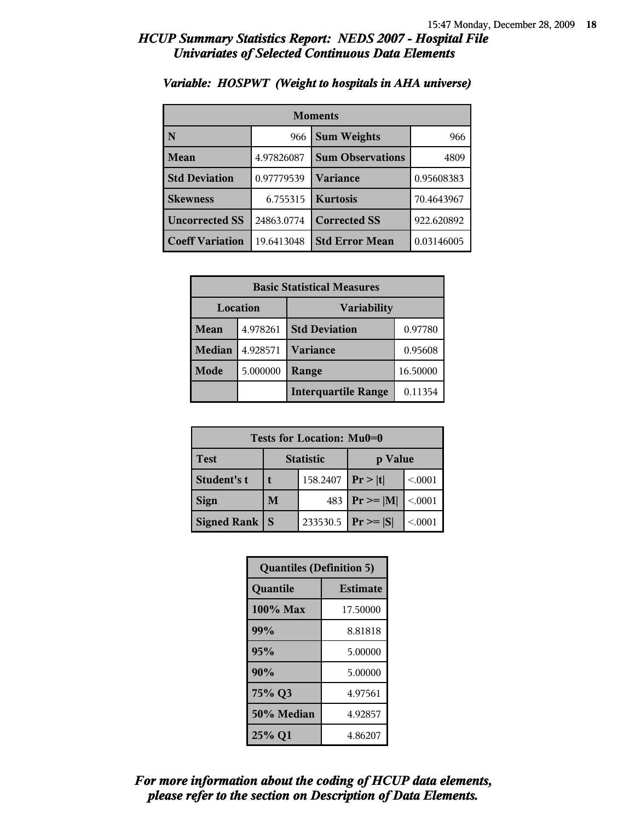| <b>Moments</b>         |            |                         |            |
|------------------------|------------|-------------------------|------------|
| N                      | 966        | <b>Sum Weights</b>      |            |
| Mean                   | 4.97826087 | <b>Sum Observations</b> | 4809       |
| <b>Std Deviation</b>   | 0.97779539 | Variance                | 0.95608383 |
| <b>Skewness</b>        | 6.755315   | <b>Kurtosis</b>         | 70.4643967 |
| <b>Uncorrected SS</b>  | 24863.0774 | <b>Corrected SS</b>     | 922.620892 |
| <b>Coeff Variation</b> | 19.6413048 | <b>Std Error Mean</b>   | 0.03146005 |

### *Variable: HOSPWT (Weight to hospitals in AHA universe)*

| <b>Basic Statistical Measures</b> |          |                            |          |
|-----------------------------------|----------|----------------------------|----------|
| Location<br><b>Variability</b>    |          |                            |          |
| Mean                              | 4.978261 | <b>Std Deviation</b>       | 0.97780  |
| <b>Median</b>                     | 4.928571 | <b>Variance</b>            | 0.95608  |
| Mode                              | 5.000000 | Range                      | 16.50000 |
|                                   |          | <b>Interquartile Range</b> | 0.11354  |

| Tests for Location: Mu0=0 |                             |          |                 |         |
|---------------------------|-----------------------------|----------|-----------------|---------|
| Test                      | <b>Statistic</b><br>p Value |          |                 |         |
| Student's t               | 158.2407                    |          | Pr >  t         | < 0001  |
| <b>Sign</b>               | 483<br>M                    |          | $ Pr \ge =  M $ | < 0.001 |
| <b>Signed Rank</b>        | <b>S</b>                    | 233530.5 | $ Pr \ge  S $   | < 0001  |

| <b>Quantiles (Definition 5)</b> |                 |  |
|---------------------------------|-----------------|--|
| Quantile                        | <b>Estimate</b> |  |
| 100% Max                        | 17.50000        |  |
| 99%                             | 8.81818         |  |
| 95%                             | 5.00000         |  |
| 90%                             | 5.00000         |  |
| 75% Q3                          | 4.97561         |  |
| 50% Median                      | 4.92857         |  |
| 25% Q1                          | 4.86207         |  |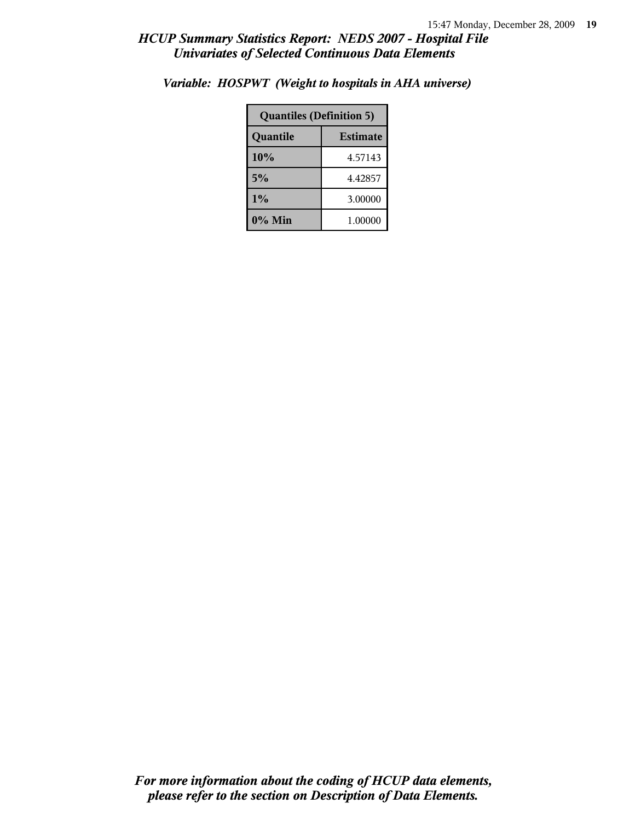| <b>Quantiles (Definition 5)</b> |         |  |
|---------------------------------|---------|--|
| <b>Estimate</b><br>Quantile     |         |  |
| 10%                             | 4.57143 |  |
| 5%                              | 4.42857 |  |
| $1\%$                           | 3.00000 |  |
| 0% Min                          | 1.00000 |  |

*Variable: HOSPWT (Weight to hospitals in AHA universe)*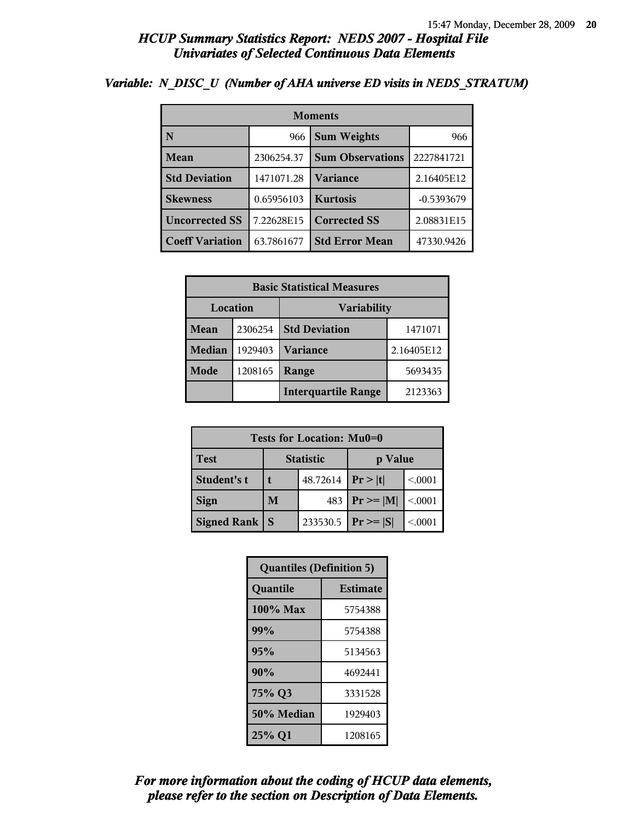| <b>Moments</b>         |            |                         |              |  |
|------------------------|------------|-------------------------|--------------|--|
| N                      | 966        | <b>Sum Weights</b>      |              |  |
| <b>Mean</b>            | 2306254.37 | <b>Sum Observations</b> | 2227841721   |  |
| <b>Std Deviation</b>   | 1471071.28 | Variance                | 2.16405E12   |  |
| <b>Skewness</b>        | 0.65956103 | <b>Kurtosis</b>         | $-0.5393679$ |  |
| <b>Uncorrected SS</b>  | 7.22628E15 | <b>Corrected SS</b>     | 2.08831E15   |  |
| <b>Coeff Variation</b> | 63.7861677 | <b>Std Error Mean</b>   | 47330.9426   |  |

## *Variable: N\_DISC\_U (Number of AHA universe ED visits in NEDS\_STRATUM)*

| <b>Basic Statistical Measures</b> |         |                                 |            |  |
|-----------------------------------|---------|---------------------------------|------------|--|
| <b>Variability</b><br>Location    |         |                                 |            |  |
| Mean                              | 2306254 | <b>Std Deviation</b><br>1471071 |            |  |
| <b>Median</b>                     | 1929403 | <b>Variance</b>                 | 2.16405E12 |  |
| <b>Mode</b>                       | 1208165 | Range                           | 5693435    |  |
|                                   |         | <b>Interquartile Range</b>      | 2123363    |  |

| Tests for Location: Mu0=0 |                             |          |                 |         |  |
|---------------------------|-----------------------------|----------|-----------------|---------|--|
| <b>Test</b>               | <b>Statistic</b><br>p Value |          |                 |         |  |
| Student's t               | t                           | 48.72614 | Pr >  t         | < 0001  |  |
| <b>Sign</b>               | 483<br>M                    |          | $ Pr \ge =  M $ | < 0.001 |  |
| <b>Signed Rank</b>        | S                           | 233530.5 | $Pr \geq  S $   | < 0001  |  |

| <b>Quantiles (Definition 5)</b> |                 |  |
|---------------------------------|-----------------|--|
| Quantile                        | <b>Estimate</b> |  |
| 100% Max                        | 5754388         |  |
| 99%                             | 5754388         |  |
| 95%                             | 5134563         |  |
| 90%                             | 4692441         |  |
| 75% Q3                          | 3331528         |  |
| 50% Median<br>1929403           |                 |  |
| 25% Q1<br>1208165               |                 |  |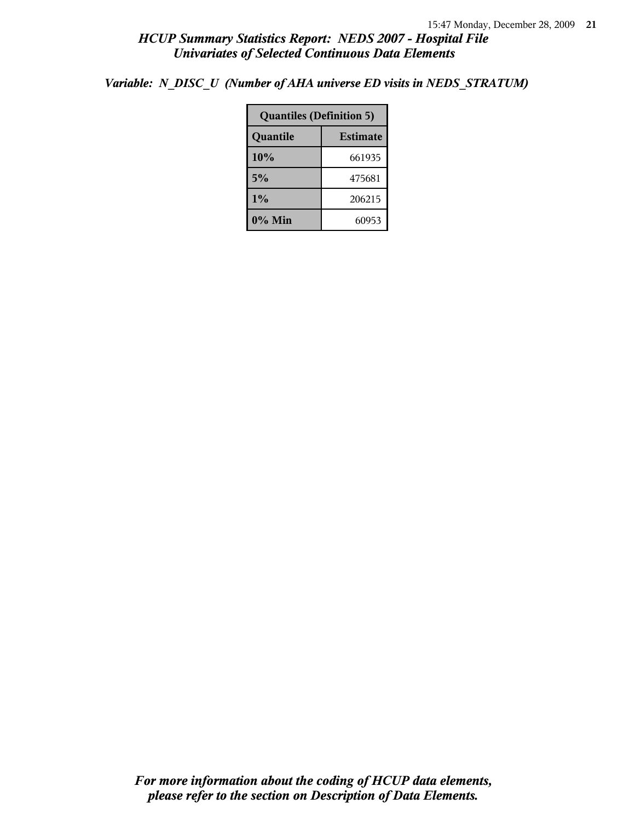*Variable: N\_DISC\_U (Number of AHA universe ED visits in NEDS\_STRATUM)*

| <b>Quantiles (Definition 5)</b> |        |  |  |
|---------------------------------|--------|--|--|
| <b>Estimate</b><br>Quantile     |        |  |  |
| 10%                             | 661935 |  |  |
| 5%                              | 475681 |  |  |
| 1%<br>206215                    |        |  |  |
| $0\%$ Min<br>60953              |        |  |  |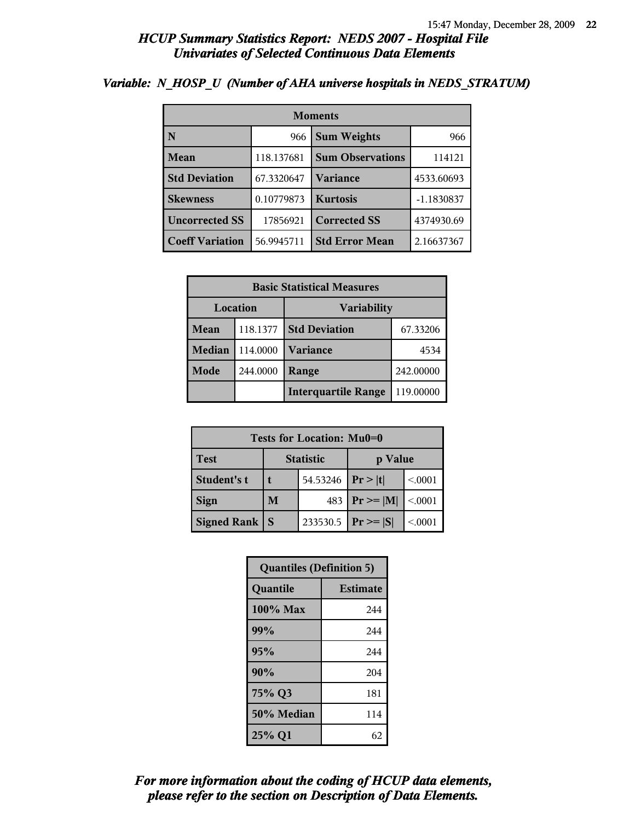| <b>Moments</b>         |            |                         |              |  |
|------------------------|------------|-------------------------|--------------|--|
| N                      | 966        | <b>Sum Weights</b>      | 966          |  |
| Mean                   | 118.137681 | <b>Sum Observations</b> | 114121       |  |
| <b>Std Deviation</b>   | 67.3320647 | <b>Variance</b>         | 4533.60693   |  |
| <b>Skewness</b>        | 0.10779873 | <b>Kurtosis</b>         | $-1.1830837$ |  |
| <b>Uncorrected SS</b>  | 17856921   | <b>Corrected SS</b>     | 4374930.69   |  |
| <b>Coeff Variation</b> | 56.9945711 | <b>Std Error Mean</b>   | 2.16637367   |  |

## *Variable: N\_HOSP\_U (Number of AHA universe hospitals in NEDS\_STRATUM)*

| <b>Basic Statistical Measures</b> |          |                            |           |  |
|-----------------------------------|----------|----------------------------|-----------|--|
| Location<br><b>Variability</b>    |          |                            |           |  |
| Mean                              | 118.1377 | <b>Std Deviation</b>       | 67.33206  |  |
| <b>Median</b>                     | 114.0000 | <b>Variance</b>            | 4534      |  |
| <b>Mode</b>                       | 244.0000 | Range                      | 242.00000 |  |
|                                   |          | <b>Interquartile Range</b> | 119.00000 |  |

| Tests for Location: Mu0=0 |                             |          |                               |         |  |
|---------------------------|-----------------------------|----------|-------------------------------|---------|--|
| <b>Test</b>               | <b>Statistic</b><br>p Value |          |                               |         |  |
| Student's t               | 54.53246                    |          | Pr> t                         | < 0.001 |  |
| <b>Sign</b>               | M<br>483                    |          | $\mathbf{Pr} \geq \mathbf{M}$ | < 0.001 |  |
| <b>Signed Rank</b><br>S   |                             | 233530.5 | $ Pr \geq  S $                | < 0001  |  |

| <b>Quantiles (Definition 5)</b> |                 |  |
|---------------------------------|-----------------|--|
| Quantile                        | <b>Estimate</b> |  |
| 100% Max                        | 244             |  |
| 99%                             | 244             |  |
| 95%                             | 244             |  |
| 90%                             | 204             |  |
| 75% Q3                          | 181             |  |
| 50% Median                      | 114             |  |
| 25% Q1                          | 62              |  |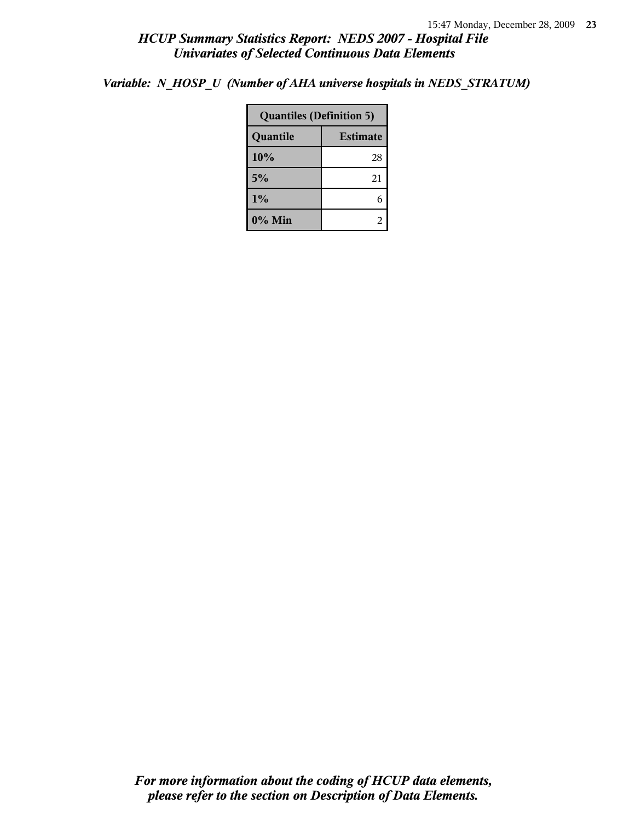*Variable: N\_HOSP\_U (Number of AHA universe hospitals in NEDS\_STRATUM)*

| <b>Quantiles (Definition 5)</b> |    |  |
|---------------------------------|----|--|
| Quantile<br><b>Estimate</b>     |    |  |
| 10%                             | 28 |  |
| 5%                              | 21 |  |
| 1%                              |    |  |
| $0\%$ Min                       |    |  |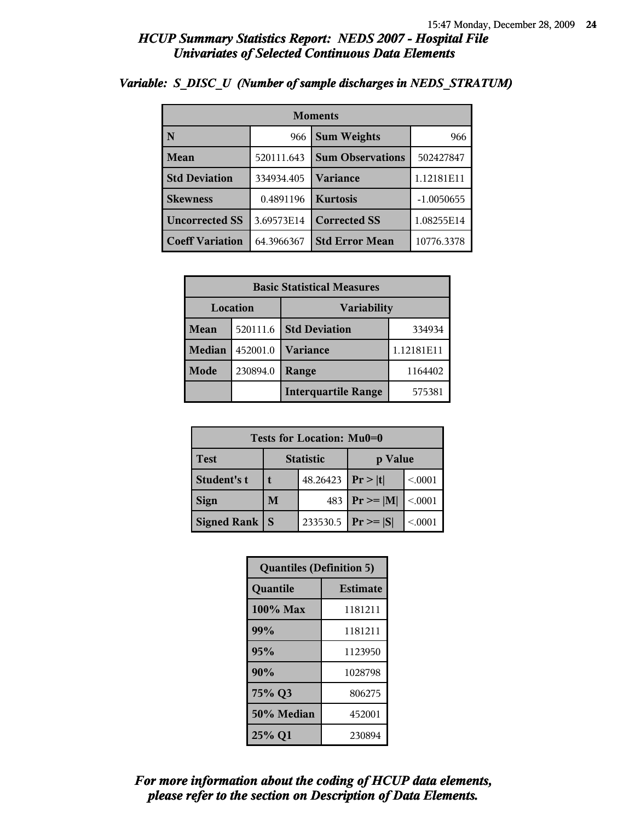| <b>Moments</b>         |            |                         |              |
|------------------------|------------|-------------------------|--------------|
| N                      | 966        | <b>Sum Weights</b>      | 966          |
| Mean                   | 520111.643 | <b>Sum Observations</b> | 502427847    |
| <b>Std Deviation</b>   | 334934.405 | Variance                | 1.12181E11   |
| <b>Skewness</b>        | 0.4891196  | <b>Kurtosis</b>         | $-1.0050655$ |
| <b>Uncorrected SS</b>  | 3.69573E14 | <b>Corrected SS</b>     | 1.08255E14   |
| <b>Coeff Variation</b> | 64.3966367 | <b>Std Error Mean</b>   | 10776.3378   |

# *Variable: S\_DISC\_U (Number of sample discharges in NEDS\_STRATUM)*

| <b>Basic Statistical Measures</b> |          |                            |            |  |  |
|-----------------------------------|----------|----------------------------|------------|--|--|
| Location<br>Variability           |          |                            |            |  |  |
| <b>Mean</b>                       | 520111.6 | <b>Std Deviation</b>       | 334934     |  |  |
| <b>Median</b>                     | 452001.0 | Variance                   | 1.12181E11 |  |  |
| Mode                              | 230894.0 | Range                      | 1164402    |  |  |
|                                   |          | <b>Interquartile Range</b> | 575381     |  |  |

| Tests for Location: Mu0=0 |                             |          |                 |         |  |  |
|---------------------------|-----------------------------|----------|-----------------|---------|--|--|
| <b>Test</b>               | <b>Statistic</b><br>p Value |          |                 |         |  |  |
| Student's t               |                             | 48.26423 | Pr> t           | < 0.001 |  |  |
| <b>Sign</b>               | M                           | 483      | $ Pr \ge =  M $ | < 0.001 |  |  |
| <b>Signed Rank</b>        | S                           | 233530.5 | $ Pr \geq  S $  | < 0.001 |  |  |

| <b>Quantiles (Definition 5)</b> |                 |  |  |
|---------------------------------|-----------------|--|--|
| Quantile                        | <b>Estimate</b> |  |  |
| 100% Max                        | 1181211         |  |  |
| 99%                             | 1181211         |  |  |
| 95%                             | 1123950         |  |  |
| 90%                             | 1028798         |  |  |
| 75% Q3<br>806275                |                 |  |  |
| 50% Median                      | 452001          |  |  |
| 25% Q1<br>230894                |                 |  |  |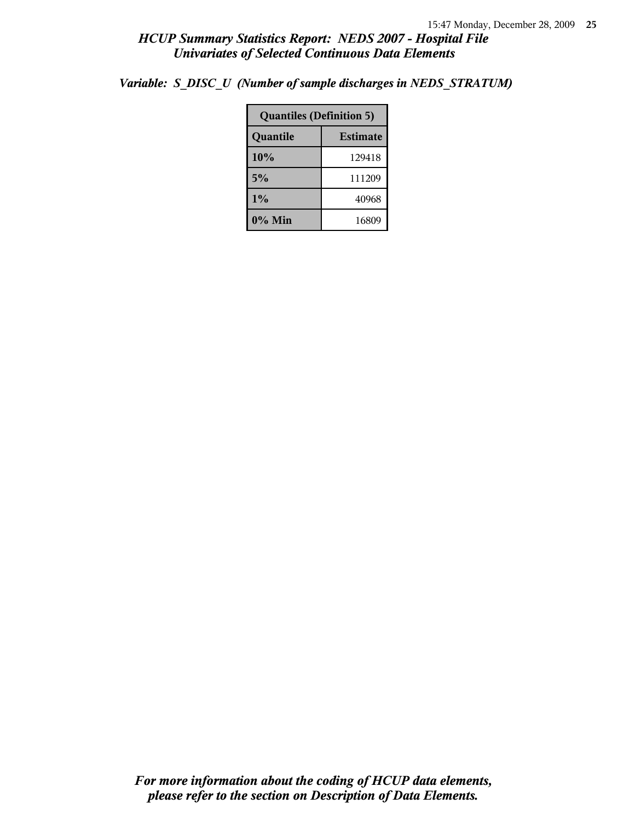|                             | <b>Quantiles (Definition 5)</b> |  |  |  |
|-----------------------------|---------------------------------|--|--|--|
| <b>Estimate</b><br>Quantile |                                 |  |  |  |
| 10%<br>129418               |                                 |  |  |  |
| 5%<br>111209                |                                 |  |  |  |
| $1\%$                       | 40968                           |  |  |  |
| 0% Min                      | 16809                           |  |  |  |

*Variable: S\_DISC\_U (Number of sample discharges in NEDS\_STRATUM)*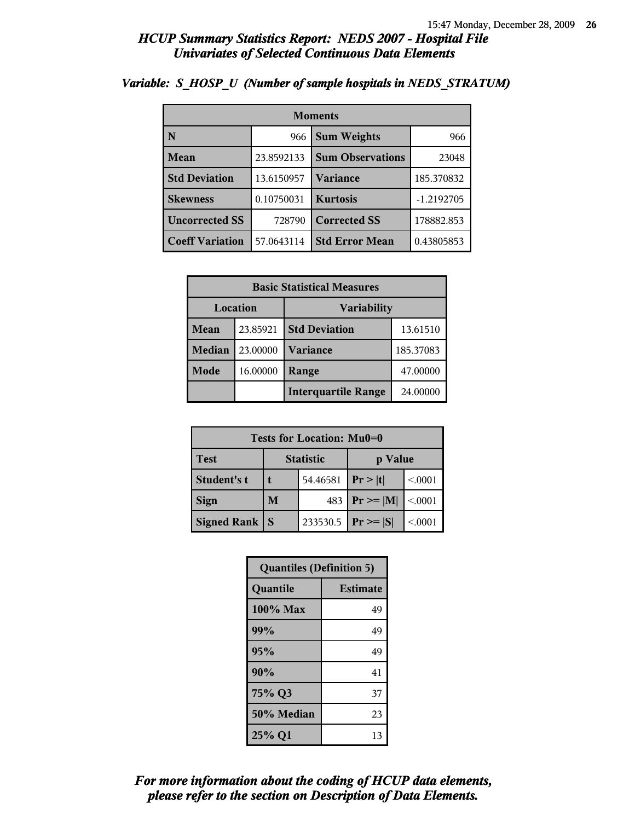| <b>Moments</b>                     |            |                         |              |  |  |
|------------------------------------|------------|-------------------------|--------------|--|--|
| $\overline{\mathbf{N}}$            | 966        | <b>Sum Weights</b>      | 966          |  |  |
| Mean                               | 23.8592133 | <b>Sum Observations</b> | 23048        |  |  |
| <b>Std Deviation</b><br>13.6150957 |            | Variance                | 185.370832   |  |  |
| <b>Skewness</b>                    | 0.10750031 | <b>Kurtosis</b>         | $-1.2192705$ |  |  |
| <b>Uncorrected SS</b><br>728790    |            | <b>Corrected SS</b>     | 178882.853   |  |  |
| <b>Coeff Variation</b>             | 57.0643114 | <b>Std Error Mean</b>   | 0.43805853   |  |  |

### *Variable: S\_HOSP\_U (Number of sample hospitals in NEDS\_STRATUM)*

| <b>Basic Statistical Measures</b> |          |                            |           |  |  |
|-----------------------------------|----------|----------------------------|-----------|--|--|
|                                   | Location | <b>Variability</b>         |           |  |  |
| Mean                              | 23.85921 | <b>Std Deviation</b>       | 13.61510  |  |  |
| <b>Median</b>                     | 23.00000 | <b>Variance</b>            | 185.37083 |  |  |
| Mode                              | 16.00000 | Range                      | 47.00000  |  |  |
|                                   |          | <b>Interquartile Range</b> | 24.00000  |  |  |

| Tests for Location: Mu0=0 |                             |          |                 |         |  |  |
|---------------------------|-----------------------------|----------|-----------------|---------|--|--|
| <b>Test</b>               | <b>Statistic</b><br>p Value |          |                 |         |  |  |
| Student's t               |                             | 54.46581 | Pr >  t         | < 0.001 |  |  |
| <b>Sign</b>               | M                           | 483      | $ Pr \ge =  M $ | < 0.001 |  |  |
| <b>Signed Rank</b>        | S                           | 233530.5 | $ Pr \geq  S $  | < 0.001 |  |  |

| <b>Quantiles (Definition 5)</b> |                 |  |  |
|---------------------------------|-----------------|--|--|
| Quantile                        | <b>Estimate</b> |  |  |
| $100\%$ Max                     | 49              |  |  |
| 99%                             | 49              |  |  |
| 95%                             | 49              |  |  |
| 90%                             | 41              |  |  |
| 75% Q3                          | 37              |  |  |
| 50% Median                      | 23              |  |  |
| 25% Q1                          | 13              |  |  |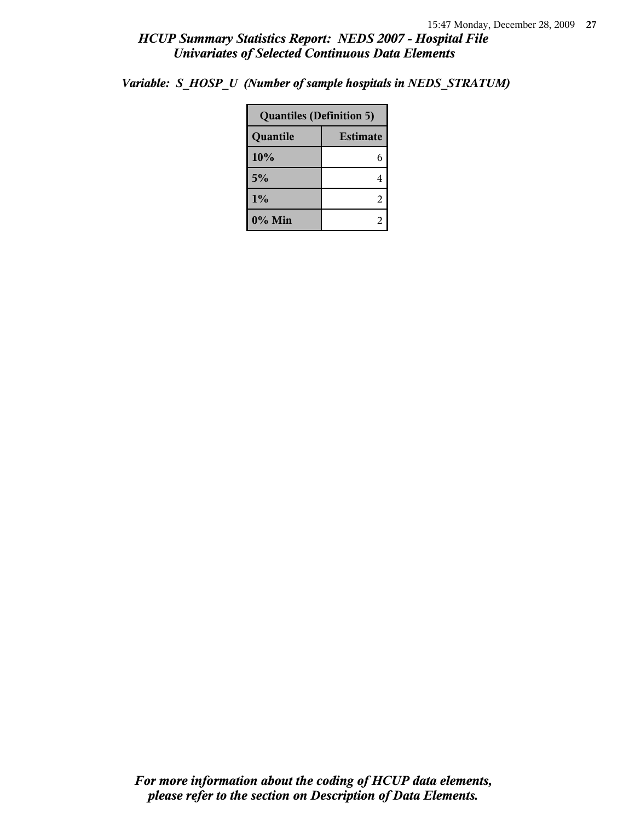|                             | <b>Quantiles (Definition 5)</b> |  |  |
|-----------------------------|---------------------------------|--|--|
| <b>Estimate</b><br>Quantile |                                 |  |  |
| 10%                         | 6                               |  |  |
| 5%                          | 4                               |  |  |
| 1%                          | $\overline{2}$                  |  |  |
| 0% Min                      | $\overline{c}$                  |  |  |

*Variable: S\_HOSP\_U (Number of sample hospitals in NEDS\_STRATUM)*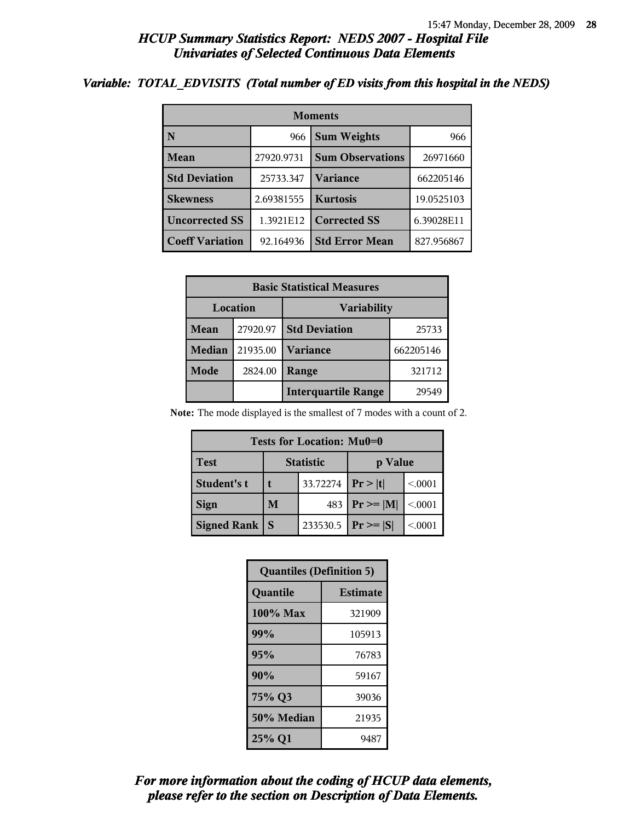#### *Variable: TOTAL\_EDVISITS (Total number of ED visits from this hospital in the NEDS)*

| <b>Moments</b>          |            |                         |            |  |  |
|-------------------------|------------|-------------------------|------------|--|--|
| $\overline{\mathbf{N}}$ | 966        | <b>Sum Weights</b>      | 966        |  |  |
| Mean                    | 27920.9731 | <b>Sum Observations</b> | 26971660   |  |  |
| <b>Std Deviation</b>    | 25733.347  | <b>Variance</b>         | 662205146  |  |  |
| <b>Skewness</b>         | 2.69381555 | <b>Kurtosis</b>         | 19.0525103 |  |  |
| <b>Uncorrected SS</b>   | 1.3921E12  | <b>Corrected SS</b>     | 6.39028E11 |  |  |
| <b>Coeff Variation</b>  | 92.164936  | <b>Std Error Mean</b>   | 827.956867 |  |  |

| <b>Basic Statistical Measures</b> |          |                            |           |  |
|-----------------------------------|----------|----------------------------|-----------|--|
| Location<br><b>Variability</b>    |          |                            |           |  |
| Mean                              | 27920.97 | <b>Std Deviation</b>       | 25733     |  |
| <b>Median</b>                     | 21935.00 | <b>Variance</b>            | 662205146 |  |
| Mode                              | 2824.00  | Range                      | 321712    |  |
|                                   |          | <b>Interquartile Range</b> | 29549     |  |

**Note:** The mode displayed is the smallest of 7 modes with a count of 2.

| Tests for Location: Mu0=0 |                             |          |                 |         |  |  |
|---------------------------|-----------------------------|----------|-----------------|---------|--|--|
| <b>Test</b>               | <b>Statistic</b><br>p Value |          |                 |         |  |  |
| Student's t               | 33.72274                    |          | Pr >  t         | < 0001  |  |  |
| <b>Sign</b>               | M<br>483                    |          | $ Pr \ge =  M $ | < 0.001 |  |  |
| <b>Signed Rank</b>        | <b>S</b>                    | 233530.5 | $ Pr \ge  S $   | < 0.001 |  |  |

| <b>Quantiles (Definition 5)</b> |                 |
|---------------------------------|-----------------|
| Quantile                        | <b>Estimate</b> |
| 100% Max                        | 321909          |
| 99%                             | 105913          |
| 95%                             | 76783           |
| 90%                             | 59167           |
| 75% Q3                          | 39036           |
| 50% Median                      | 21935           |
| 25% Q1                          | 9487            |